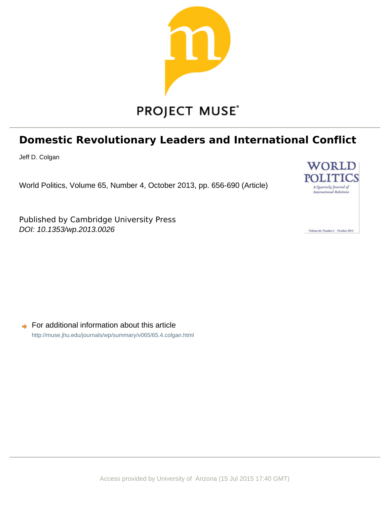

# **Domestic Revolutionary Leaders and International Conflict**

Jeff D. Colgan

World Politics, Volume 65, Number 4, October 2013, pp. 656-690 (Article)

Published by Cambridge University Press DOI: 10.1353/wp.2013.0026



Volume 66, Number 4 October 2014

For additional information about this article  $\Rightarrow$ <http://muse.jhu.edu/journals/wp/summary/v065/65.4.colgan.html>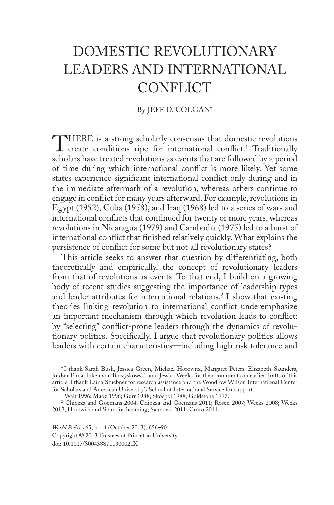# Domestic Revolutionary Leaders and International CONFLICT

## By JEFF D. COLGAN\*

THERE is a strong scholarly consensus that domestic revolutions create conditions ripe for international conflict.1 Traditionally scholars have treated revolutions as events that are followed by a period of time during which international conflict is more likely. Yet some states experience significant international conflict only during and in the immediate aftermath of a revolution, whereas others continue to engage in conflict for many years afterward. For example, revolutions in Egypt (1952), Cuba (1958), and Iraq (1968) led to a series of wars and international conflicts that continued for twenty or more years, whereas revolutions in Nicaragua (1979) and Cambodia (1975) led to a burst of international conflict that finished relatively quickly. What explains the persistence of conflict for some but not all revolutionary states?

This article seeks to answer that question by differentiating, both theoretically and empirically, the concept of revolutionary leaders from that of revolutions as events. To that end, I build on a growing body of recent studies suggesting the importance of leadership types and leader attributes for international relations.<sup>2</sup> I show that existing theories linking revolution to international conflict underemphasize an important mechanism through which revolution leads to conflict: by "selecting" conflict-prone leaders through the dynamics of revolutionary politics. Specifically, I argue that revolutionary politics allows leaders with certain characteristics—including high risk tolerance and

<sup>\*</sup>I thank Sarah Bush, Jessica Green, Michael Horowitz, Margaret Peters, Elizabeth Saunders, Jordan Tama, Inken von Borzyskowski, and Jessica Weeks for their comments on earlier drafts of this article. I thank Laina Stuebner for research assistance and the Woodrow Wilson International Center for Scholars and American University's School of International Service for support.

<sup>1</sup> Walt 1996; Maoz 1996; Gurr 1988; Skocpol 1988; Goldstone 1997.

<sup>2</sup> Chiozza and Goemans 2004; Chiozza and Goemans 2011; Rosen 2007; Weeks 2008; Weeks 2012; Horowitz and Stam forthcoming; Saunders 2011; Croco 2011.

*World Politics* 65, no. 4 (October 2013), 656–90 Copyright © 2013 Trustees of Princeton University doi: 10.1017/S004388711300021X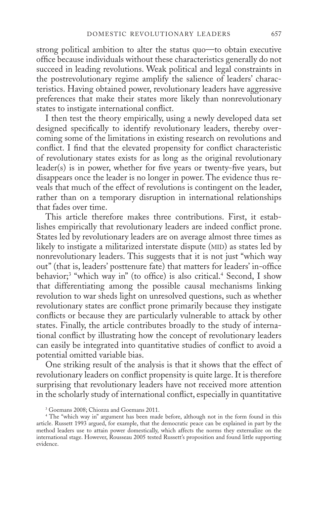strong political ambition to alter the status quo—to obtain executive office because individuals without these characteristics generally do not succeed in leading revolutions. Weak political and legal constraints in the postrevolutionary regime amplify the salience of leaders' characteristics. Having obtained power, revolutionary leaders have aggressive preferences that make their states more likely than nonrevolutionary states to instigate international conflict.

I then test the theory empirically, using a newly developed data set designed specifically to identify revolutionary leaders, thereby overcoming some of the limitations in existing research on revolutions and conflict. I find that the elevated propensity for conflict characteristic of revolutionary states exists for as long as the original revolutionary leader(s) is in power, whether for five years or twenty-five years, but disappears once the leader is no longer in power. The evidence thus reveals that much of the effect of revolutions is contingent on the leader, rather than on a temporary disruption in international relationships that fades over time.

This article therefore makes three contributions. First, it establishes empirically that revolutionary leaders are indeed conflict prone. States led by revolutionary leaders are on average almost three times as likely to instigate a militarized interstate dispute (MID) as states led by nonrevolutionary leaders. This suggests that it is not just "which way out" (that is, leaders' posttenure fate) that matters for leaders' in-office behavior;<sup>3</sup> "which way in" (to office) is also critical.<sup>4</sup> Second, I show that differentiating among the possible causal mechanisms linking revolution to war sheds light on unresolved questions, such as whether revolutionary states are conflict prone primarily because they instigate conflicts or because they are particularly vulnerable to attack by other states. Finally, the article contributes broadly to the study of international conflict by illustrating how the concept of revolutionary leaders can easily be integrated into quantitative studies of conflict to avoid a potential omitted variable bias.

One striking result of the analysis is that it shows that the effect of revolutionary leaders on conflict propensity is quite large. It is therefore surprising that revolutionary leaders have not received more attention in the scholarly study of international conflict, especially in quantitative

<sup>3</sup> Goemans 2008; Chiozza and Goemans 2011.

<sup>4</sup> The "which way in" argument has been made before, although not in the form found in this article. Russett 1993 argued, for example, that the democratic peace can be explained in part by the method leaders use to attain power domestically, which affects the norms they externalize on the international stage. However, Rousseau 2005 tested Russett's proposition and found little supporting evidence.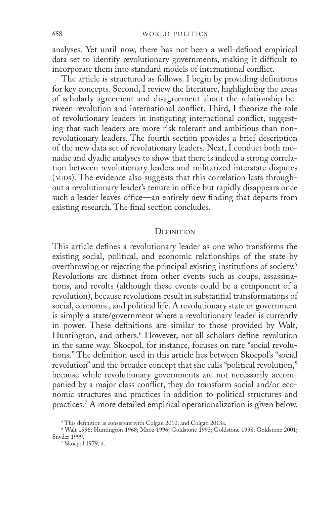analyses. Yet until now, there has not been a well-defined empirical data set to identify revolutionary governments, making it difficult to incorporate them into standard models of international conflict.

The article is structured as follows. I begin by providing definitions for key concepts. Second, I review the literature, highlighting the areas of scholarly agreement and disagreement about the relationship between revolution and international conflict. Third, I theorize the role of revolutionary leaders in instigating international conflict, suggesting that such leaders are more risk tolerant and ambitious than nonrevolutionary leaders. The fourth section provides a brief description of the new data set of revolutionary leaders. Next, I conduct both monadic and dyadic analyses to show that there is indeed a strong correlation between revolutionary leaders and militarized interstate disputes (MIDs). The evidence also suggests that this correlation lasts throughout a revolutionary leader's tenure in office but rapidly disappears once such a leader leaves office—an entirely new finding that departs from existing research. The final section concludes.

#### **DEFINITION**

This article defines a revolutionary leader as one who transforms the existing social, political, and economic relationships of the state by overthrowing or rejecting the principal existing institutions of society.5 Revolutions are distinct from other events such as coups, assassinations, and revolts (although these events could be a component of a revolution), because revolutions result in substantial transformations of social, economic, and political life. A revolutionary state or government is simply a state/government where a revolutionary leader is currently in power. These definitions are similar to those provided by Walt, Huntington, and others.<sup>6</sup> However, not all scholars define revolution in the same way. Skocpol, for instance, focuses on rare "social revolutions." The definition used in this article lies between Skocpol's "social revolution" and the broader concept that she calls "political revolution," because while revolutionary governments are not necessarily accompanied by a major class conflict, they do transform social and/or economic structures and practices in addition to political structures and practices.7 A more detailed empirical operationalization is given below.

<sup>&</sup>lt;sup>5</sup> This definition is consistent with Colgan 2010; and Colgan 2013a.

<sup>6</sup> Walt 1996; Huntington 1968; Maoz 1996; Goldstone 1993; Goldstone 1998; Goldstone 2001; Snyder 1999.

<sup>7</sup> Skocpol 1979, 4.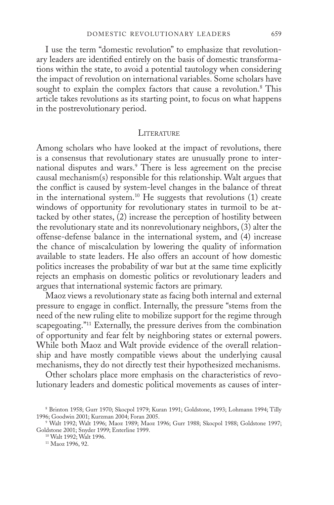I use the term "domestic revolution" to emphasize that revolutionary leaders are identified entirely on the basis of domestic transformations within the state, to avoid a potential tautology when considering the impact of revolution on international variables. Some scholars have sought to explain the complex factors that cause a revolution.<sup>8</sup> This article takes revolutions as its starting point, to focus on what happens in the postrevolutionary period.

## **LITERATURE**

Among scholars who have looked at the impact of revolutions, there is a consensus that revolutionary states are unusually prone to international disputes and wars.9 There is less agreement on the precise causal mechanism(s) responsible for this relationship. Walt argues that the conflict is caused by system-level changes in the balance of threat in the international system.<sup>10</sup> He suggests that revolutions (1) create windows of opportunity for revolutionary states in turmoil to be attacked by other states,  $(2)$  increase the perception of hostility between the revolutionary state and its nonrevolutionary neighbors, (3) alter the offense-defense balance in the international system, and (4) increase the chance of miscalculation by lowering the quality of information available to state leaders. He also offers an account of how domestic politics increases the probability of war but at the same time explicitly rejects an emphasis on domestic politics or revolutionary leaders and argues that international systemic factors are primary.

Maoz views a revolutionary state as facing both internal and external pressure to engage in conflict. Internally, the pressure "stems from the need of the new ruling elite to mobilize support for the regime through scapegoating."<sup>11</sup> Externally, the pressure derives from the combination of opportunity and fear felt by neighboring states or external powers. While both Maoz and Walt provide evidence of the overall relationship and have mostly compatible views about the underlying causal mechanisms, they do not directly test their hypothesized mechanisms.

Other scholars place more emphasis on the characteristics of revolutionary leaders and domestic political movements as causes of inter-

<sup>11</sup> Maoz 1996, 92.

<sup>8</sup> Brinton 1958; Gurr 1970; Skocpol 1979; Kuran 1991; Goldstone, 1993; Lohmann 1994; Tilly 1996; Goodwin 2001; Kurzman 2004; Foran 2005.

<sup>9</sup> Walt 1992; Walt 1996; Maoz 1989; Maoz 1996; Gurr 1988; Skocpol 1988; Goldstone 1997; Goldstone 2001; Snyder 1999; Enterline 1999.

<sup>10</sup> Walt 1992; Walt 1996.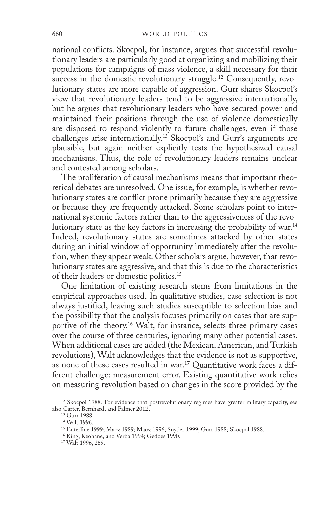national conflicts. Skocpol, for instance, argues that successful revolutionary leaders are particularly good at organizing and mobilizing their populations for campaigns of mass violence, a skill necessary for their success in the domestic revolutionary struggle.<sup>12</sup> Consequently, revolutionary states are more capable of aggression. Gurr shares Skocpol's view that revolutionary leaders tend to be aggressive internationally, but he argues that revolutionary leaders who have secured power and maintained their positions through the use of violence domestically are disposed to respond violently to future challenges, even if those challenges arise internationally.<sup>13</sup> Skocpol's and Gurr's arguments are plausible, but again neither explicitly tests the hypothesized causal mechanisms. Thus, the role of revolutionary leaders remains unclear and contested among scholars.

The proliferation of causal mechanisms means that important theoretical debates are unresolved. One issue, for example, is whether revolutionary states are conflict prone primarily because they are aggressive or because they are frequently attacked. Some scholars point to international systemic factors rather than to the aggressiveness of the revolutionary state as the key factors in increasing the probability of war.14 Indeed, revolutionary states are sometimes attacked by other states during an initial window of opportunity immediately after the revolution, when they appear weak. Other scholars argue, however, that revolutionary states are aggressive, and that this is due to the characteristics of their leaders or domestic politics.15

One limitation of existing research stems from limitations in the empirical approaches used. In qualitative studies, case selection is not always justified, leaving such studies susceptible to selection bias and the possibility that the analysis focuses primarily on cases that are supportive of the theory.<sup>16</sup> Walt, for instance, selects three primary cases over the course of three centuries, ignoring many other potential cases. When additional cases are added (the Mexican, American, and Turkish revolutions), Walt acknowledges that the evidence is not as supportive, as none of these cases resulted in war.<sup>17</sup> Quantitative work faces a different challenge: measurement error. Existing quantitative work relies on measuring revolution based on changes in the score provided by the

<sup>&</sup>lt;sup>12</sup> Skocpol 1988. For evidence that postrevolutionary regimes have greater military capacity, see also Carter, Bernhard, and Palmer 2012.

<sup>&</sup>lt;sup>13</sup> Gurr 1988.

<sup>14</sup> Walt 1996.

<sup>15</sup> Enterline 1999; Maoz 1989; Maoz 1996; Snyder 1999; Gurr 1988; Skocpol 1988.

<sup>16</sup> King, Keohane, and Verba 1994; Geddes 1990.

<sup>&</sup>lt;sup>17</sup> Walt 1996, 269.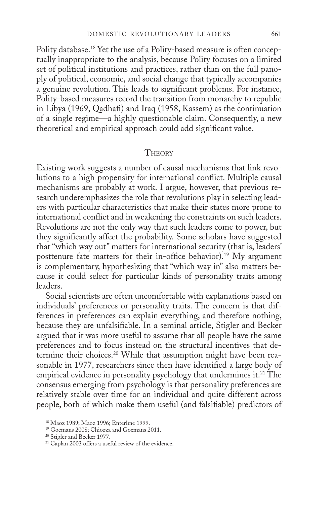Polity database.18 Yet the use of a Polity-based measure is often conceptually inappropriate to the analysis, because Polity focuses on a limited set of political institutions and practices, rather than on the full panoply of political, economic, and social change that typically accompanies a genuine revolution. This leads to significant problems. For instance, Polity-based measures record the transition from monarchy to republic in Libya (1969, Qadhafi) and Iraq (1958, Kassem) as the continuation of a single regime—a highly questionable claim. Consequently, a new theoretical and empirical approach could add significant value.

#### **THEORY**

Existing work suggests a number of causal mechanisms that link revolutions to a high propensity for international conflict. Multiple causal mechanisms are probably at work. I argue, however, that previous research underemphasizes the role that revolutions play in selecting leaders with particular characteristics that make their states more prone to international conflict and in weakening the constraints on such leaders. Revolutions are not the only way that such leaders come to power, but they significantly affect the probability. Some scholars have suggested that "which way out" matters for international security (that is, leaders' posttenure fate matters for their in-office behavior).<sup>19</sup> My argument is complementary, hypothesizing that "which way in" also matters because it could select for particular kinds of personality traits among leaders.

Social scientists are often uncomfortable with explanations based on individuals' preferences or personality traits. The concern is that differences in preferences can explain everything, and therefore nothing, because they are unfalsifiable. In a seminal article, Stigler and Becker argued that it was more useful to assume that all people have the same preferences and to focus instead on the structural incentives that determine their choices.<sup>20</sup> While that assumption might have been reasonable in 1977, researchers since then have identified a large body of empirical evidence in personality psychology that undermines it.<sup>21</sup> The consensus emerging from psychology is that personality preferences are relatively stable over time for an individual and quite different across people, both of which make them useful (and falsifiable) predictors of

<sup>18</sup> Maoz 1989; Maoz 1996; Enterline 1999.

<sup>19</sup> Goemans 2008; Chiozza and Goemans 2011.

<sup>20</sup> Stigler and Becker 1977.

<sup>21</sup> Caplan 2003 offers a useful review of the evidence.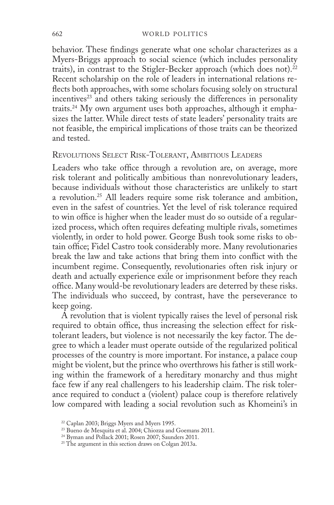#### 662 world politics

behavior. These findings generate what one scholar characterizes as a Myers-Briggs approach to social science (which includes personality traits), in contrast to the Stigler-Becker approach (which does not).<sup>22</sup> Recent scholarship on the role of leaders in international relations reflects both approaches, with some scholars focusing solely on structural incentives<sup>23</sup> and others taking seriously the differences in personality traits.24 My own argument uses both approaches, although it emphasizes the latter. While direct tests of state leaders' personality traits are not feasible, the empirical implications of those traits can be theorized and tested.

## Revolutions Select Risk-Tolerant, Ambitious Leaders

Leaders who take office through a revolution are, on average, more risk tolerant and politically ambitious than nonrevolutionary leaders, because individuals without those characteristics are unlikely to start a revolution.<sup>25</sup> All leaders require some risk tolerance and ambition, even in the safest of countries. Yet the level of risk tolerance required to win office is higher when the leader must do so outside of a regularized process, which often requires defeating multiple rivals, sometimes violently, in order to hold power. George Bush took some risks to obtain office; Fidel Castro took considerably more. Many revolutionaries break the law and take actions that bring them into conflict with the incumbent regime. Consequently, revolutionaries often risk injury or death and actually experience exile or imprisonment before they reach office. Many would-be revolutionary leaders are deterred by these risks. The individuals who succeed, by contrast, have the perseverance to keep going.

A revolution that is violent typically raises the level of personal risk required to obtain office, thus increasing the selection effect for risktolerant leaders, but violence is not necessarily the key factor. The degree to which a leader must operate outside of the regularized political processes of the country is more important. For instance, a palace coup might be violent, but the prince who overthrows his father is still working within the framework of a hereditary monarchy and thus might face few if any real challengers to his leadership claim. The risk tolerance required to conduct a (violent) palace coup is therefore relatively low compared with leading a social revolution such as Khomeini's in

<sup>&</sup>lt;sup>22</sup> Caplan 2003; Briggs Myers and Myers 1995.

<sup>23</sup> Bueno de Mesquita et al. 2004; Chiozza and Goemans 2011.

<sup>24</sup> Byman and Pollack 2001; Rosen 2007; Saunders 2011.

<sup>&</sup>lt;sup>25</sup> The argument in this section draws on Colgan 2013a.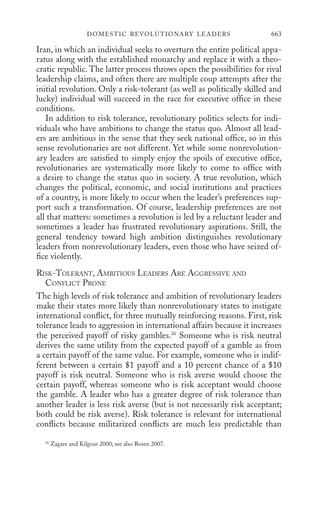Iran, in which an individual seeks to overturn the entire political apparatus along with the established monarchy and replace it with a theocratic republic. The latter process throws open the possibilities for rival leadership claims, and often there are multiple coup attempts after the initial revolution. Only a risk-tolerant (as well as politically skilled and lucky) individual will succeed in the race for executive office in these conditions.

In addition to risk tolerance, revolutionary politics selects for individuals who have ambitions to change the status quo. Almost all leaders are ambitious in the sense that they seek national office, so in this sense revolutionaries are not different. Yet while some nonrevolutionary leaders are satisfied to simply enjoy the spoils of executive office, revolutionaries are systematically more likely to come to office with a desire to change the status quo in society. A true revolution, which changes the political, economic, and social institutions and practices of a country, is more likely to occur when the leader's preferences support such a transformation. Of course, leadership preferences are not all that matters: sometimes a revolution is led by a reluctant leader and sometimes a leader has frustrated revolutionary aspirations. Still, the general tendency toward high ambition distinguishes revolutionary leaders from nonrevolutionary leaders, even those who have seized office violently.

Risk-Tolerant, Ambitious Leaders Are Aggressive and CONFLICT PRONE

The high levels of risk tolerance and ambition of revolutionary leaders make their states more likely than nonrevolutionary states to instigate international conflict, for three mutually reinforcing reasons. First, risk tolerance leads to aggression in international affairs because it increases the perceived payoff of risky gambles.<sup>26</sup> Someone who is risk neutral derives the same utility from the expected payoff of a gamble as from a certain payoff of the same value. For example, someone who is indifferent between a certain \$1 payoff and a 10 percent chance of a \$10 payoff is risk neutral. Someone who is risk averse would choose the certain payoff, whereas someone who is risk acceptant would choose the gamble. A leader who has a greater degree of risk tolerance than another leader is less risk averse (but is not necessarily risk acceptant; both could be risk averse). Risk tolerance is relevant for international conflicts because militarized conflicts are much less predictable than

<sup>&</sup>lt;sup>26</sup> Zagare and Kilgour 2000; see also Rosen 2007.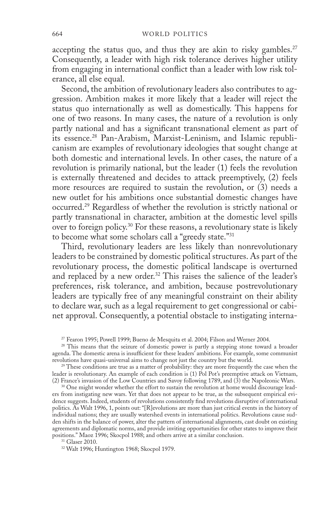accepting the status quo, and thus they are akin to risky gambles. $27$ Consequently, a leader with high risk tolerance derives higher utility from engaging in international conflict than a leader with low risk tolerance, all else equal.

Second, the ambition of revolutionary leaders also contributes to aggression. Ambition makes it more likely that a leader will reject the status quo internationally as well as domestically. This happens for one of two reasons. In many cases, the nature of a revolution is only partly national and has a significant transnational element as part of its essence.<sup>28</sup> Pan-Arabism, Marxist-Leninism, and Islamic republicanism are examples of revolutionary ideologies that sought change at both domestic and international levels. In other cases, the nature of a revolution is primarily national, but the leader (1) feels the revolution is externally threatened and decides to attack preemptively, (2) feels more resources are required to sustain the revolution, or (3) needs a new outlet for his ambitions once substantial domestic changes have occurred.29 Regardless of whether the revolution is strictly national or partly transnational in character, ambition at the domestic level spills over to foreign policy.30 For these reasons, a revolutionary state is likely to become what some scholars call a "greedy state."31

Third, revolutionary leaders are less likely than nonrevolutionary leaders to be constrained by domestic political structures. As part of the revolutionary process, the domestic political landscape is overturned and replaced by a new order.<sup>32</sup> This raises the salience of the leader's preferences, risk tolerance, and ambition, because postrevolutionary leaders are typically free of any meaningful constraint on their ability to declare war, such as a legal requirement to get congressional or cabinet approval. Consequently, a potential obstacle to instigating interna-

<sup>30</sup> One might wonder whether the effort to sustain the revolution at home would discourage leaders from instigating new wars. Yet that does not appear to be true, as the subsequent empirical evidence suggests. Indeed, students of revolutions consistently find revolutions disruptive of international politics. As Walt 1996, 1, points out: "[R]evolutions are more than just critical events in the history of individual nations; they are usually watershed events in international politics. Revolutions cause sudden shifts in the balance of power, alter the pattern of international alignments, cast doubt on existing agreements and diplomatic norms, and provide inviting opportunities for other states to improve their positions." Maoz 1996; Skocpol 1988; and others arrive at a similar conclusion.

31 Glaser 2010.

32 Walt 1996; Huntington 1968; Skocpol 1979.

<sup>&</sup>lt;sup>27</sup> Fearon 1995; Powell 1999; Bueno de Mesquita et al. 2004; Filson and Werner 2004.

<sup>&</sup>lt;sup>28</sup> This means that the seizure of domestic power is partly a stepping stone toward a broader agenda. The domestic arena is insufficient for these leaders' ambitions. For example, some communist revolutions have quasi-universal aims to change not just the country but the world.

<sup>&</sup>lt;sup>29</sup> These conditions are true as a matter of probability: they are more frequently the case when the leader is revolutionary. An example of each condition is (1) Pol Pot's preemptive attack on Vietnam, (2) France's invasion of the Low Countries and Savoy following 1789, and (3) the Napoleonic Wars.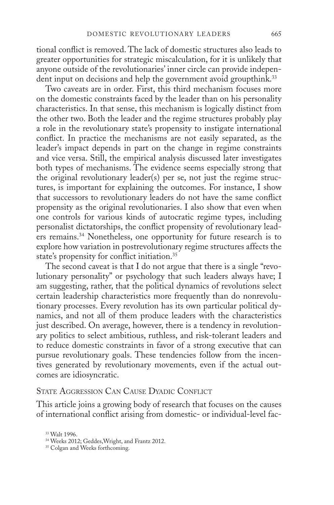tional conflict is removed. The lack of domestic structures also leads to greater opportunities for strategic miscalculation, for it is unlikely that anyone outside of the revolutionaries' inner circle can provide independent input on decisions and help the government avoid groupthink.<sup>33</sup>

Two caveats are in order. First, this third mechanism focuses more on the domestic constraints faced by the leader than on his personality characteristics. In that sense, this mechanism is logically distinct from the other two. Both the leader and the regime structures probably play a role in the revolutionary state's propensity to instigate international conflict. In practice the mechanisms are not easily separated, as the leader's impact depends in part on the change in regime constraints and vice versa. Still, the empirical analysis discussed later investigates both types of mechanisms. The evidence seems especially strong that the original revolutionary leader(s) per se, not just the regime structures, is important for explaining the outcomes. For instance, I show that successors to revolutionary leaders do not have the same conflict propensity as the original revolutionaries. I also show that even when one controls for various kinds of autocratic regime types, including personalist dictatorships, the conflict propensity of revolutionary leaders remains.34 Nonetheless, one opportunity for future research is to explore how variation in postrevolutionary regime structures affects the state's propensity for conflict initiation.35

The second caveat is that I do not argue that there is a single "revolutionary personality" or psychology that such leaders always have; I am suggesting, rather, that the political dynamics of revolutions select certain leadership characteristics more frequently than do nonrevolutionary processes. Every revolution has its own particular political dynamics, and not all of them produce leaders with the characteristics just described. On average, however, there is a tendency in revolutionary politics to select ambitious, ruthless, and risk-tolerant leaders and to reduce domestic constraints in favor of a strong executive that can pursue revolutionary goals. These tendencies follow from the incentives generated by revolutionary movements, even if the actual outcomes are idiosyncratic.

#### State Aggression Can Cause Dyadic Conflict

This article joins a growing body of research that focuses on the causes of international conflict arising from domestic- or individual-level fac-

<sup>33</sup> Walt 1996.

<sup>34</sup> Weeks 2012; Geddes,Wright, and Frantz 2012.

<sup>&</sup>lt;sup>35</sup> Colgan and Weeks forthcoming.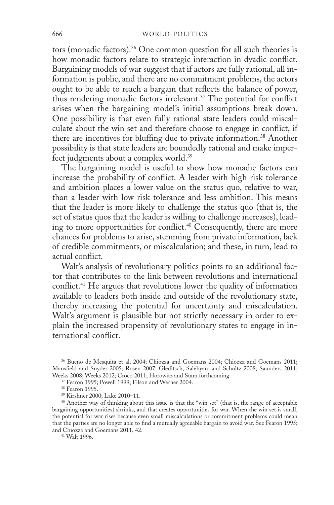tors (monadic factors).<sup>36</sup> One common question for all such theories is how monadic factors relate to strategic interaction in dyadic conflict. Bargaining models of war suggest that if actors are fully rational, all information is public, and there are no commitment problems, the actors ought to be able to reach a bargain that reflects the balance of power, thus rendering monadic factors irrelevant.37 The potential for conflict arises when the bargaining model's initial assumptions break down. One possibility is that even fully rational state leaders could miscalculate about the win set and therefore choose to engage in conflict, if there are incentives for bluffing due to private information.<sup>38</sup> Another possibility is that state leaders are boundedly rational and make imperfect judgments about a complex world.39

The bargaining model is useful to show how monadic factors can increase the probability of conflict. A leader with high risk tolerance and ambition places a lower value on the status quo, relative to war, than a leader with low risk tolerance and less ambition. This means that the leader is more likely to challenge the status quo (that is, the set of status quos that the leader is willing to challenge increases), leading to more opportunities for conflict.<sup>40</sup> Consequently, there are more chances for problems to arise, stemming from private information, lack of credible commitments, or miscalculation; and these, in turn, lead to actual conflict.

Walt's analysis of revolutionary politics points to an additional factor that contributes to the link between revolutions and international conflict.41 He argues that revolutions lower the quality of information available to leaders both inside and outside of the revolutionary state, thereby increasing the potential for uncertainty and miscalculation. Walt's argument is plausible but not strictly necessary in order to explain the increased propensity of revolutionary states to engage in international conflict.

39 Kirshner 2000; Lake 2010–11.

<sup>40</sup> Another way of thinking about this issue is that the "win set" (that is, the range of acceptable bargaining opportunities) shrinks, and that creates opportunities for war. When the win set is small, the potential for war rises because even small miscalculations or commitment problems could mean that the parties are no longer able to find a mutually agreeable bargain to avoid war. See Fearon 1995; and Chiozza and Goemans 2011, 42.

41 Walt 1996.

<sup>36</sup> Bueno de Mesquita et al. 2004; Chiozza and Goemans 2004; Chiozza and Goemans 2011; Mansfield and Snyder 2005; Rosen 2007; Gleditsch, Salehyan, and Schultz 2008; Saunders 2011; Weeks 2008; Weeks 2012; Croco 2011; Horowitz and Stam forthcoming.

<sup>37</sup> Fearon 1995; Powell 1999; Filson and Werner 2004.

<sup>38</sup> Fearon 1995.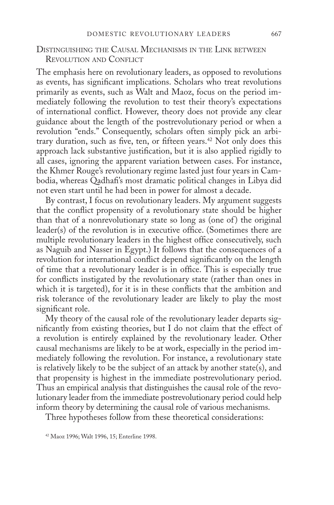## Distinguishing the Causal Mechanisms in the Link between Revolution and Conflict

The emphasis here on revolutionary leaders, as opposed to revolutions as events, has significant implications. Scholars who treat revolutions primarily as events, such as Walt and Maoz, focus on the period immediately following the revolution to test their theory's expectations of international conflict. However, theory does not provide any clear guidance about the length of the postrevolutionary period or when a revolution "ends." Consequently, scholars often simply pick an arbitrary duration, such as five, ten, or fifteen years.<sup>42</sup> Not only does this approach lack substantive justification, but it is also applied rigidly to all cases, ignoring the apparent variation between cases. For instance, the Khmer Rouge's revolutionary regime lasted just four years in Cambodia, whereas Qadhafi's most dramatic political changes in Libya did not even start until he had been in power for almost a decade.

By contrast, I focus on revolutionary leaders. My argument suggests that the conflict propensity of a revolutionary state should be higher than that of a nonrevolutionary state so long as (one of) the original leader(s) of the revolution is in executive office. (Sometimes there are multiple revolutionary leaders in the highest office consecutively, such as Naguib and Nasser in Egypt.) It follows that the consequences of a revolution for international conflict depend significantly on the length of time that a revolutionary leader is in office. This is especially true for conflicts instigated by the revolutionary state (rather than ones in which it is targeted), for it is in these conflicts that the ambition and risk tolerance of the revolutionary leader are likely to play the most significant role.

My theory of the causal role of the revolutionary leader departs significantly from existing theories, but I do not claim that the effect of a revolution is entirely explained by the revolutionary leader. Other causal mechanisms are likely to be at work, especially in the period immediately following the revolution. For instance, a revolutionary state is relatively likely to be the subject of an attack by another state(s), and that propensity is highest in the immediate postrevolutionary period. Thus an empirical analysis that distinguishes the causal role of the revolutionary leader from the immediate postrevolutionary period could help inform theory by determining the causal role of various mechanisms.

Three hypotheses follow from these theoretical considerations:

<sup>42</sup> Maoz 1996; Walt 1996, 15; Enterline 1998.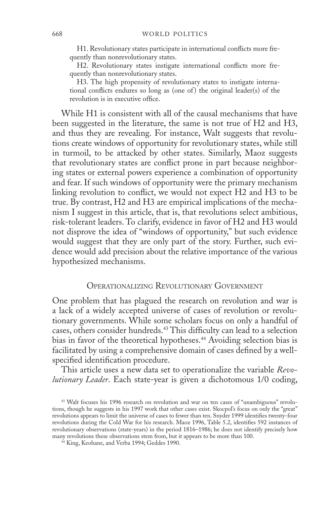H1. Revolutionary states participate in international conflicts more frequently than nonrevolutionary states.

H2. Revolutionary states instigate international conflicts more frequently than nonrevolutionary states.

H3. The high propensity of revolutionary states to instigate international conflicts endures so long as (one of) the original leader(s) of the revolution is in executive office.

While H1 is consistent with all of the causal mechanisms that have been suggested in the literature, the same is not true of H2 and H3, and thus they are revealing. For instance, Walt suggests that revolutions create windows of opportunity for revolutionary states, while still in turmoil, to be attacked by other states. Similarly, Maoz suggests that revolutionary states are conflict prone in part because neighboring states or external powers experience a combination of opportunity and fear. If such windows of opportunity were the primary mechanism linking revolution to conflict, we would not expect H2 and H3 to be true. By contrast, H2 and H3 are empirical implications of the mechanism I suggest in this article, that is, that revolutions select ambitious, risk-tolerant leaders. To clarify, evidence in favor of H2 and H3 would not disprove the idea of "windows of opportunity," but such evidence would suggest that they are only part of the story. Further, such evidence would add precision about the relative importance of the various hypothesized mechanisms.

## Operationalizing Revolutionary Government

One problem that has plagued the research on revolution and war is a lack of a widely accepted universe of cases of revolution or revolutionary governments. While some scholars focus on only a handful of cases, others consider hundreds.43 This difficulty can lead to a selection bias in favor of the theoretical hypotheses.<sup>44</sup> Avoiding selection bias is facilitated by using a comprehensive domain of cases defined by a wellspecified identification procedure.

This article uses a new data set to operationalize the variable *Revolutionary Leader*. Each state-year is given a dichotomous 1/0 coding,

<sup>43</sup> Walt focuses his 1996 research on revolution and war on ten cases of "unambiguous" revolutions, though he suggests in his 1997 work that other cases exist. Skocpol's focus on only the "great" revolutions appears to limit the universe of cases to fewer than ten. Snyder 1999 identifies twenty-four revolutions during the Cold War for his research. Maoz 1996, Table 5.2, identifies 592 instances of revolutionary observations (state-years) in the period 1816–1986; he does not identify precisely how many revolutions these observations stem from, but it appears to be more than 100.

<sup>&</sup>lt;sup>44</sup> King, Keohane, and Verba 1994; Geddes 1990.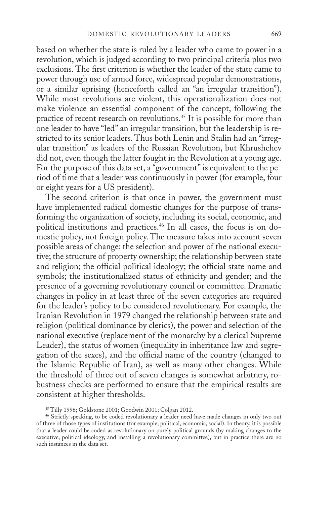based on whether the state is ruled by a leader who came to power in a revolution, which is judged according to two principal criteria plus two exclusions. The first criterion is whether the leader of the state came to power through use of armed force, widespread popular demonstrations, or a similar uprising (henceforth called an "an irregular transition"). While most revolutions are violent, this operationalization does not make violence an essential component of the concept, following the practice of recent research on revolutions.45 It is possible for more than one leader to have "led" an irregular transition, but the leadership is restricted to its senior leaders. Thus both Lenin and Stalin had an "irregular transition" as leaders of the Russian Revolution, but Khrushchev did not, even though the latter fought in the Revolution at a young age. For the purpose of this data set, a "government" is equivalent to the period of time that a leader was continuously in power (for example, four or eight years for a US president).

The second criterion is that once in power, the government must have implemented radical domestic changes for the purpose of transforming the organization of society, including its social, economic, and political institutions and practices.46 In all cases, the focus is on domestic policy, not foreign policy. The measure takes into account seven possible areas of change: the selection and power of the national executive; the structure of property ownership; the relationship between state and religion; the official political ideology; the official state name and symbols; the institutionalized status of ethnicity and gender; and the presence of a governing revolutionary council or committee. Dramatic changes in policy in at least three of the seven categories are required for the leader's policy to be considered revolutionary. For example, the Iranian Revolution in 1979 changed the relationship between state and religion (political dominance by clerics), the power and selection of the national executive (replacement of the monarchy by a clerical Supreme Leader), the status of women (inequality in inheritance law and segregation of the sexes), and the official name of the country (changed to the Islamic Republic of Iran), as well as many other changes. While the threshold of three out of seven changes is somewhat arbitrary, robustness checks are performed to ensure that the empirical results are consistent at higher thresholds.

<sup>46</sup> Strictly speaking, to be coded revolutionary a leader need have made changes in only two out of three of those types of institutions (for example, political, economic, social). In theory, it is possible that a leader could be coded as revolutionary on purely political grounds (by making changes to the executive, political ideology, and installing a revolutionary committee), but in practice there are no such instances in the data set.

<sup>45</sup> Tilly 1996; Goldstone 2001; Goodwin 2001; Colgan 2012.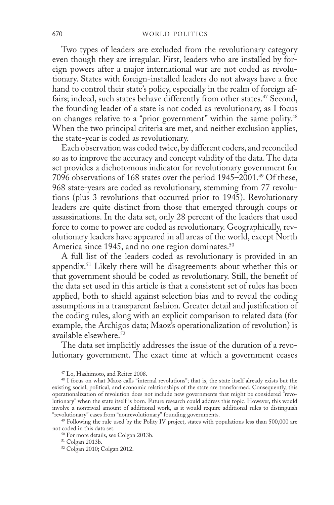Two types of leaders are excluded from the revolutionary category even though they are irregular. First, leaders who are installed by foreign powers after a major international war are not coded as revolutionary. States with foreign-installed leaders do not always have a free hand to control their state's policy, especially in the realm of foreign affairs; indeed, such states behave differently from other states.<sup>47</sup> Second, the founding leader of a state is not coded as revolutionary, as I focus on changes relative to a "prior government" within the same polity.<sup>48</sup> When the two principal criteria are met, and neither exclusion applies, the state-year is coded as revolutionary.

Each observation was coded twice, by different coders, and reconciled so as to improve the accuracy and concept validity of the data. The data set provides a dichotomous indicator for revolutionary government for 7096 observations of 168 states over the period 1945–2001.49 Of these, 968 state-years are coded as revolutionary, stemming from 77 revolutions (plus 3 revolutions that occurred prior to 1945). Revolutionary leaders are quite distinct from those that emerged through coups or assassinations. In the data set, only 28 percent of the leaders that used force to come to power are coded as revolutionary. Geographically, revolutionary leaders have appeared in all areas of the world, except North America since 1945, and no one region dominates.<sup>50</sup>

A full list of the leaders coded as revolutionary is provided in an appendix.51 Likely there will be disagreements about whether this or that government should be coded as revolutionary. Still, the benefit of the data set used in this article is that a consistent set of rules has been applied, both to shield against selection bias and to reveal the coding assumptions in a transparent fashion. Greater detail and justification of the coding rules, along with an explicit comparison to related data (for example, the Archigos data; Maoz's operationalization of revolution) is available elsewhere.52

The data set implicitly addresses the issue of the duration of a revolutionary government. The exact time at which a government ceases

<sup>47</sup> Lo, Hashimoto, and Reiter 2008.

<sup>48</sup> I focus on what Maoz calls "internal revolutions"; that is, the state itself already exists but the existing social, political, and economic relationships of the state are transformed. Consequently, this operationalization of revolution does not include new governments that might be considered "revolutionary" when the state itself is born. Future research could address this topic. However, this would involve a nontrivial amount of additional work, as it would require additional rules to distinguish "revolutionary" cases from "nonrevolutionary" founding governments.

<sup>49</sup> Following the rule used by the Polity IV project, states with populations less than 500,000 are not coded in this data set.

<sup>50</sup> For more details, see Colgan 2013b.

<sup>51</sup> Colgan 2013b.

<sup>52</sup> Colgan 2010; Colgan 2012.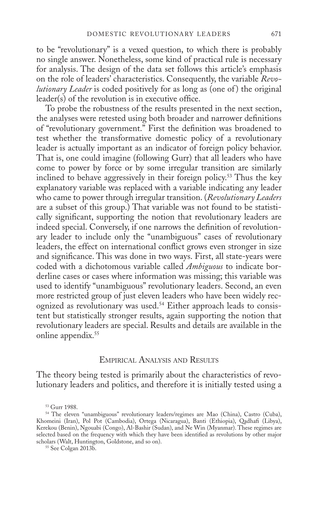to be "revolutionary" is a vexed question, to which there is probably no single answer. Nonetheless, some kind of practical rule is necessary for analysis. The design of the data set follows this article's emphasis on the role of leaders' characteristics. Consequently, the variable *Revolutionary Leader* is coded positively for as long as (one of) the original leader(s) of the revolution is in executive office.

To probe the robustness of the results presented in the next section, the analyses were retested using both broader and narrower definitions of "revolutionary government." First the definition was broadened to test whether the transformative domestic policy of a revolutionary leader is actually important as an indicator of foreign policy behavior. That is, one could imagine (following Gurr) that all leaders who have come to power by force or by some irregular transition are similarly inclined to behave aggressively in their foreign policy.53 Thus the key explanatory variable was replaced with a variable indicating any leader who came to power through irregular transition. (*Revolutionary Leaders*  are a subset of this group.) That variable was not found to be statistically significant, supporting the notion that revolutionary leaders are indeed special. Conversely, if one narrows the definition of revolutionary leader to include only the "unambiguous" cases of revolutionary leaders, the effect on international conflict grows even stronger in size and significance. This was done in two ways. First, all state-years were coded with a dichotomous variable called *Ambiguous* to indicate borderline cases or cases where information was missing; this variable was used to identify "unambiguous" revolutionary leaders. Second, an even more restricted group of just eleven leaders who have been widely recognized as revolutionary was used.<sup>54</sup> Either approach leads to consistent but statistically stronger results, again supporting the notion that revolutionary leaders are special. Results and details are available in the online appendix.<sup>55</sup>

#### Empirical Analysis and Results

The theory being tested is primarily about the characteristics of revolutionary leaders and politics, and therefore it is initially tested using a

<sup>53</sup> Gurr 1988.

<sup>54</sup> The eleven "unambiguous" revolutionary leaders/regimes are Mao (China), Castro (Cuba), Khomeini (Iran), Pol Pot (Cambodia), Ortega (Nicaragua), Banti (Ethiopia), Qadhafi (Libya), Kerekou (Benin), Ngouabi (Congo), Al-Bashir (Sudan), and Ne Win (Myanmar). These regimes are selected based on the frequency with which they have been identified as revolutions by other major scholars (Walt, Huntington, Goldstone, and so on).

<sup>55</sup> See Colgan 2013b.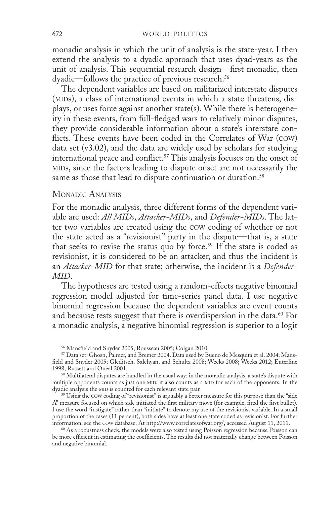monadic analysis in which the unit of analysis is the state-year. I then extend the analysis to a dyadic approach that uses dyad-years as the unit of analysis. This sequential research design—first monadic, then dyadic—follows the practice of previous research.<sup>56</sup>

The dependent variables are based on militarized interstate disputes (MIDs), a class of international events in which a state threatens, displays, or uses force against another state(s). While there is heterogeneity in these events, from full-fledged wars to relatively minor disputes, they provide considerable information about a state's interstate conflicts. These events have been coded in the Correlates of War (cow) data set (v3.02), and the data are widely used by scholars for studying international peace and conflict.<sup>57</sup> This analysis focuses on the onset of mids, since the factors leading to dispute onset are not necessarily the same as those that lead to dispute continuation or duration.<sup>58</sup>

#### MONADIC ANALYSIS

For the monadic analysis, three different forms of the dependent variable are used: *All MIDs*, *Attacker-MIDs*, and *Defender-MIDs*. The latter two variables are created using the cow coding of whether or not the state acted as a "revisionist" party in the dispute—that is, a state that seeks to revise the status quo by force.<sup>59</sup> If the state is coded as revisionist, it is considered to be an attacker, and thus the incident is an *Attacker-MID* for that state; otherwise, the incident is a *Defender-MID*.

The hypotheses are tested using a random-effects negative binomial regression model adjusted for time-series panel data. I use negative binomial regression because the dependent variables are event counts and because tests suggest that there is overdispersion in the data.<sup>60</sup> For a monadic analysis, a negative binomial regression is superior to a logit

<sup>59</sup> Using the cow coding of "revisionist" is arguably a better measure for this purpose than the "side A" measure focused on which side initiated the first military move (for example, fired the first bullet). I use the word "instigate" rather than "initiate" to denote my use of the revisionist variable. In a small proportion of the cases (11 percent), both sides have at least one state coded as revisionist. For further information, see the cow database. At http://www.correlatesofwar.org/, accessed August 11, 2011.

<sup>60</sup> As a robustness check, the models were also tested using Poisson regression because Poisson can be more efficient in estimating the coefficients. The results did not materially change between Poisson and negative binomial.

<sup>56</sup> Mansfield and Snyder 2005; Rousseau 2005; Colgan 2010.

<sup>57</sup> Data set: Ghosn, Palmer, and Bremer 2004. Data used by Bueno de Mesquita et al. 2004; Mansfield and Snyder 2005; Gleditsch, Salehyan, and Schultz 2008; Weeks 2008; Weeks 2012; Enterline 1998; Russett and Oneal 2001.

<sup>58</sup> Multilateral disputes are handled in the usual way: in the monadic analysis, a state's dispute with multiple opponents counts as just one MID; it also counts as a MID for each of the opponents. In the dyadic analysis the MID is counted for each relevant state pair.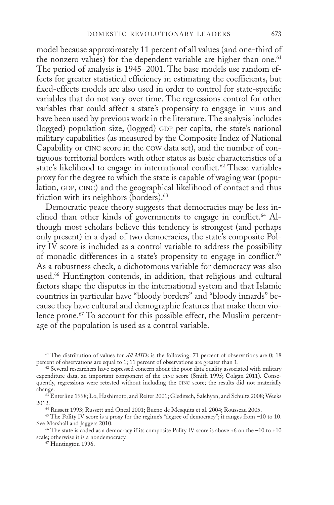model because approximately 11 percent of all values (and one-third of the nonzero values) for the dependent variable are higher than one.<sup>61</sup> The period of analysis is 1945–2001. The base models use random effects for greater statistical efficiency in estimating the coefficients, but fixed-effects models are also used in order to control for state-specific variables that do not vary over time. The regressions control for other variables that could affect a state's propensity to engage in MIDs and have been used by previous work in the literature. The analysis includes (logged) population size, (logged) GDP per capita, the state's national military capabilities (as measured by the Composite Index of National Capability or CINC score in the cow data set), and the number of contiguous territorial borders with other states as basic characteristics of a state's likelihood to engage in international conflict.<sup>62</sup> These variables proxy for the degree to which the state is capable of waging war (population, GDP, CINC) and the geographical likelihood of contact and thus friction with its neighbors (borders).<sup>63</sup>

Democratic peace theory suggests that democracies may be less inclined than other kinds of governments to engage in conflict.<sup>64</sup> Although most scholars believe this tendency is strongest (and perhaps only present) in a dyad of two democracies, the state's composite Polity IV score is included as a control variable to address the possibility of monadic differences in a state's propensity to engage in conflict.<sup>65</sup> As a robustness check, a dichotomous variable for democracy was also used.66 Huntington contends, in addition, that religious and cultural factors shape the disputes in the international system and that Islamic countries in particular have "bloody borders" and "bloody innards" because they have cultural and demographic features that make them violence prone.<sup>67</sup> To account for this possible effect, the Muslim percentage of the population is used as a control variable.

<sup>61</sup> The distribution of values for *All MIDs* is the following: 71 percent of observations are 0; 18 percent of observations are equal to 1; 11 percent of observations are greater than 1.

63 Enterline 1998; Lo, Hashimoto, and Reiter 2001; Gleditsch, Salehyan, and Schultz 2008; Weeks 2012.

64 Russett 1993; Russett and Oneal 2001; Bueno de Mesquita et al. 2004; Rousseau 2005.

<sup>65</sup> The Polity IV score is a proxy for the regime's "degree of democracy"; it ranges from –10 to 10. See Marshall and Jaggers 2010.

 $66$  The state is coded as a democracy if its composite Polity IV score is above +6 on the -10 to +10 scale; otherwise it is a nondemocracy.

67 Huntington 1996.

<sup>&</sup>lt;sup>62</sup> Several researchers have expressed concern about the poor data quality associated with military expenditure data, an important component of the cinc score (Smith 1995; Colgan 2011). Consequently, regressions were retested without including the CINC score; the results did not materially change.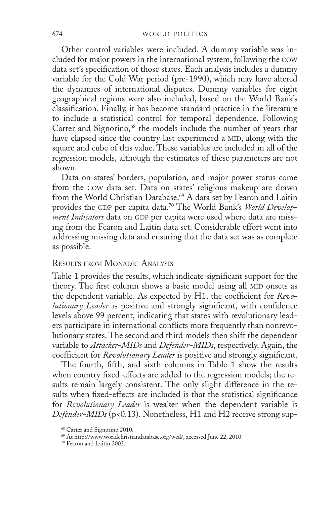Other control variables were included. A dummy variable was included for major powers in the international system, following the cow data set's specification of those states. Each analysis includes a dummy variable for the Cold War period (pre-1990), which may have altered the dynamics of international disputes. Dummy variables for eight geographical regions were also included, based on the World Bank's classification. Finally, it has become standard practice in the literature to include a statistical control for temporal dependence. Following Carter and Signorino,<sup>68</sup> the models include the number of years that have elapsed since the country last experienced a MID, along with the square and cube of this value. These variables are included in all of the regression models, although the estimates of these parameters are not shown.

Data on states' borders, population, and major power status come from the cow data set. Data on states' religious makeup are drawn from the World Christian Database.<sup>69</sup> A data set by Fearon and Laitin provides the GDP per capita data.<sup>70</sup> The World Bank's World Develop*ment Indicators* data on GDP per capita were used where data are missing from the Fearon and Laitin data set. Considerable effort went into addressing missing data and ensuring that the data set was as complete as possible.

#### Results from Monadic Analysis

Table 1 provides the results, which indicate significant support for the theory. The first column shows a basic model using all MID onsets as the dependent variable. As expected by H1, the coefficient for *Revolutionary Leader* is positive and strongly significant, with confidence levels above 99 percent, indicating that states with revolutionary leaders participate in international conflicts more frequently than nonrevolutionary states. The second and third models then shift the dependent variable to *Attacker-MIDs* and *Defender-MIDs*, respectively. Again, the coefficient for *Revolutionary Leader* is positive and strongly significant.

The fourth, fifth, and sixth columns in Table 1 show the results when country fixed-effects are added to the regression models; the results remain largely consistent. The only slight difference in the results when fixed-effects are included is that the statistical significance for *Revolutionary Leader* is weaker when the dependent variable is *Defender-MIDs* (p<0.13). Nonetheless, H1 and H2 receive strong sup-

<sup>68</sup> Carter and Signorino 2010.

<sup>69</sup> At http://www.worldchristiandatabase.org/wcd/, accessed June 22, 2010.

<sup>70</sup> Fearon and Laitin 2003.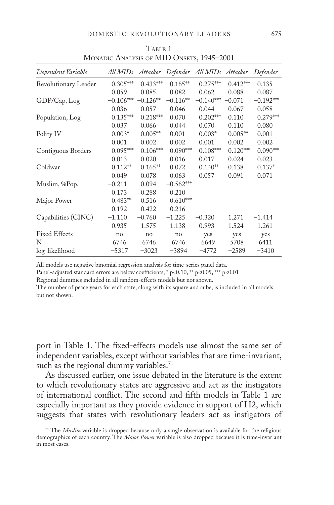| Dependent Variable   | All MIDs    | Attacker   |             | Defender All MIDs Attacker |            | Defender    |
|----------------------|-------------|------------|-------------|----------------------------|------------|-------------|
| Revolutionary Leader | $0.305***$  | $0.433***$ | $0.165**$   | $0.275***$                 | $0.412***$ | 0.135       |
|                      | 0.059       | 0.085      | 0.082       | 0.062                      | 0.088      | 0.087       |
| GDP/Cap, Log         | $-0.106***$ | $-0.126**$ | $-0.116**$  | $-0.140***$                | $-0.071$   | $-0.192***$ |
|                      | 0.036       | 0.057      | 0.046       | 0.044                      | 0.067      | 0.058       |
| Population, Log      | $0.135***$  | $0.218***$ | 0.070       | $0.202***$                 | 0.110      | $0.279***$  |
|                      | 0.037       | 0.066      | 0.044       | 0.070                      | 0.110      | 0.080       |
| Polity IV            | $0.003*$    | $0.005**$  | 0.001       | $0.003*$                   | $0.005**$  | 0.001       |
|                      | 0.001       | 0.002      | 0.002       | 0.001                      | 0.002      | 0.002       |
| Contiguous Borders   | $0.095***$  | $0.106***$ | $0.090***$  | $0.108***$                 | $0.120***$ | $0.090***$  |
|                      | 0.013       | 0.020      | 0.016       | 0.017                      | 0.024      | 0.023       |
| Coldwar              | $0.112**$   | $0.165**$  | 0.072       | $0.140**$                  | 0.138      | $0.137*$    |
|                      | 0.049       | 0.078      | 0.063       | 0.057                      | 0.091      | 0.071       |
| Muslim, %Pop.        | $-0.211$    | 0.094      | $-0.562***$ |                            |            |             |
|                      | 0.173       | 0.288      | 0.210       |                            |            |             |
| Major Power          | $0.483**$   | 0.516      | $0.610***$  |                            |            |             |
|                      | 0.192       | 0.422      | 0.216       |                            |            |             |
| Capabilities (CINC)  | $-1.110$    | $-0.760$   | $-1.225$    | $-0.320$                   | 1.271      | $-1.414$    |
|                      | 0.935       | 1.575      | 1.138       | 0.993                      | 1.524      | 1.261       |
| <b>Fixed Effects</b> | no          | no         | no          | yes                        | yes        | yes         |
| N                    | 6746        | 6746       | 6746        | 6649                       | 5708       | 6411        |
| log-likelihood       | $-5317$     | $-3023$    | $-3894$     | $-4772$                    | $-2589$    | $-3410$     |

TABLE 1 Monadic Analysis of MID Onsets, 1945–2001

All models use negative binomial regression analysis for time-series panel data.

Panel-adjusted standard errors are below coefficients; \* p<0.10, \*\* p<0.05, \*\*\* p<0.01

Regional dummies included in all random-effects models but not shown.

The number of peace years for each state, along with its square and cube, is included in all models but not shown.

port in Table 1. The fixed-effects models use almost the same set of independent variables, except without variables that are time-invariant, such as the regional dummy variables.<sup>71</sup>

As discussed earlier, one issue debated in the literature is the extent to which revolutionary states are aggressive and act as the instigators of international conflict. The second and fifth models in Table 1 are especially important as they provide evidence in support of H2, which suggests that states with revolutionary leaders act as instigators of

<sup>71</sup> The *Muslim* variable is dropped because only a single observation is available for the religious demographics of each country. The *Major Power* variable is also dropped because it is time-invariant in most cases.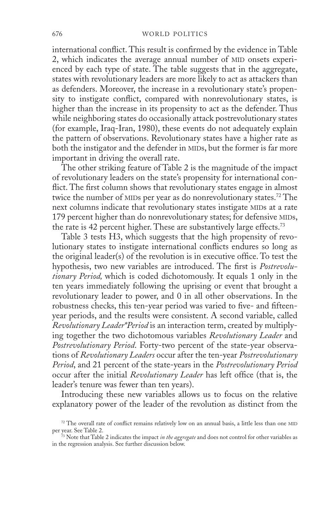international conflict. This result is confirmed by the evidence in Table 2, which indicates the average annual number of MID onsets experienced by each type of state. The table suggests that in the aggregate, states with revolutionary leaders are more likely to act as attackers than as defenders. Moreover, the increase in a revolutionary state's propensity to instigate conflict, compared with nonrevolutionary states, is higher than the increase in its propensity to act as the defender. Thus while neighboring states do occasionally attack postrevolutionary states (for example, Iraq-Iran, 1980), these events do not adequately explain the pattern of observations. Revolutionary states have a higher rate as both the instigator and the defender in MIDs, but the former is far more important in driving the overall rate.

The other striking feature of Table 2 is the magnitude of the impact of revolutionary leaders on the state's propensity for international conflict. The first column shows that revolutionary states engage in almost twice the number of MIDs per year as do nonrevolutionary states.<sup>72</sup> The next columns indicate that revolutionary states instigate MIDs at a rate 179 percent higher than do nonrevolutionary states; for defensive MIDs, the rate is 42 percent higher. These are substantively large effects.<sup>73</sup>

Table 3 tests H3, which suggests that the high propensity of revolutionary states to instigate international conflicts endures so long as the original leader(s) of the revolution is in executive office. To test the hypothesis, two new variables are introduced. The first is *Postrevolutionary Period,* which is coded dichotomously. It equals 1 only in the ten years immediately following the uprising or event that brought a revolutionary leader to power, and 0 in all other observations. In the robustness checks, this ten-year period was varied to five- and fifteenyear periods, and the results were consistent. A second variable, called *Revolutionary Leader\*Period* is an interaction term, created by multiplying together the two dichotomous variables *Revolutionary Leader* and *Postrevolutionary Period*. Forty-two percent of the state-year observations of *Revolutionary Leaders* occur after the ten-year *Postrevolutionary Period*, and 21 percent of the state-years in the *Postrevolutionary Period* occur after the initial *Revolutionary Leader* has left office (that is, the leader's tenure was fewer than ten years).

Introducing these new variables allows us to focus on the relative explanatory power of the leader of the revolution as distinct from the

 $72$  The overall rate of conflict remains relatively low on an annual basis, a little less than one MID per year. See Table 2.

<sup>73</sup> Note that Table 2 indicates the impact *in the aggregate* and does not control for other variables as in the regression analysis. See further discussion below.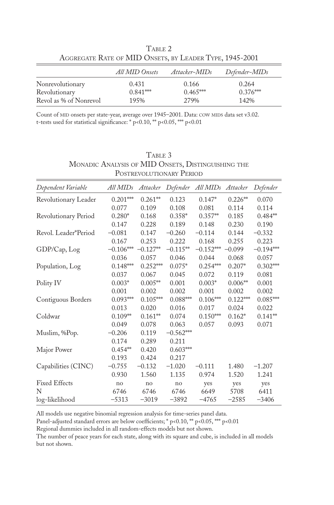|                                                         | TABLE 2 |  |  |
|---------------------------------------------------------|---------|--|--|
| AGGREGATE RATE OF MID ONSETS, BY LEADER TYPE, 1945-2001 |         |  |  |

|                        | All MID Onsets | Attacker-MIDs | Defender-MIDs |
|------------------------|----------------|---------------|---------------|
| Nonrevolutionary       | 0.431          | 0.166         | 0.264         |
| Revolutionary          | $0.841***$     | $0.465***$    | $0.376***$    |
| Revol as % of Nonrevol | 195%           | 2.79%         | 142%          |

Count of MID onsets per state-year, average over 1945–2001. Data: COW MIDS data set v3.02. t-tests used for statistical significance: \* p<0.10, \*\* p<0.05, \*\*\* p<0.01

| TABLE 3                                            |
|----------------------------------------------------|
| MONADIC ANALYSIS OF MID ONSETS, DISTINGUISHING THE |
| POSTREVOLUTIONARY PERIOD                           |

| Dependent Variable   | All MIDs    | Attacker   |                | Defender All MIDs Attacker |            | Defender    |
|----------------------|-------------|------------|----------------|----------------------------|------------|-------------|
| Revolutionary Leader | $0.201***$  | $0.261**$  | 0.123          | $0.147*$                   | $0.226**$  | 0.070       |
|                      | 0.077       | 0.109      | 0.108          | 0.081                      | 0.114      | 0.114       |
| Revolutionary Period | $0.280*$    | 0.168      | $0.358*$       | $0.357**$                  | 0.185      | $0.484**$   |
|                      | 0.147       | 0.228      | 0.189          | 0.148                      | 0.230      | 0.190       |
| Revol. Leader*Period | $-0.081$    | 0.147      | $-0.260$       | $-0.114$                   | 0.144      | $-0.332$    |
|                      | 0.167       | 0.253      | 0.222          | 0.168                      | 0.255      | 0.223       |
| GDP/Cap, Log         | $-0.106***$ | $-0.127**$ | $-0.115**$     | $-0.152***$                | $-0.099$   | $-0.194***$ |
|                      | 0.036       | 0.057      | 0.046          | 0.044                      | 0.068      | 0.057       |
| Population, Log      | $0.148***$  | $0.252***$ | $0.075^{\ast}$ | $0.254***$                 | $0.207*$   | $0.302***$  |
|                      | 0.037       | 0.067      | 0.045          | 0.072                      | 0.119      | 0.081       |
| Polity IV            | $0.003*$    | $0.005**$  | 0.001          | $0.003*$                   | $0.006**$  | 0.001       |
|                      | 0.001       | 0.002      | 0.002          | 0.001                      | 0.002      | 0.002       |
| Contiguous Borders   | $0.093***$  | $0.105***$ | $0.088***$     | $0.106***$                 | $0.122***$ | $0.085***$  |
|                      | 0.013       | 0.020      | 0.016          | 0.017                      | 0.024      | 0.022       |
| Coldwar              | $0.109**$   | $0.161**$  | 0.074          | $0.150***$                 | $0.162*$   | $0.141**$   |
|                      | 0.049       | 0.078      | 0.063          | 0.057                      | 0.093      | 0.071       |
| Muslim, %Pop.        | $-0.206$    | 0.119      | $-0.562***$    |                            |            |             |
|                      | 0.174       | 0.289      | 0.211          |                            |            |             |
| Major Power          | $0.454**$   | 0.420      | $0.603***$     |                            |            |             |
|                      | 0.193       | 0.424      | 0.217          |                            |            |             |
| Capabilities (CINC)  | $-0.755$    | $-0.132$   | $-1.020$       | $-0.111$                   | 1.480      | $-1.207$    |
|                      | 0.930       | 1.560      | 1.135          | 0.974                      | 1.520      | 1.241       |
| <b>Fixed Effects</b> | no          | no         | no             | yes                        | yes        | yes         |
| N                    | 6746        | 6746       | 6746           | 6649                       | 5708       | 6411        |
| log-likelihood       | $-5313$     | $-3019$    | $-3892$        | $-4765$                    | $-2585$    | $-3406$     |

All models use negative binomial regression analysis for time-series panel data.

Panel-adjusted standard errors are below coefficients; \* p<0.10, \*\* p<0.05, \*\*\* p<0.01

Regional dummies included in all random-effects models but not shown.

The number of peace years for each state, along with its square and cube, is included in all models but not shown.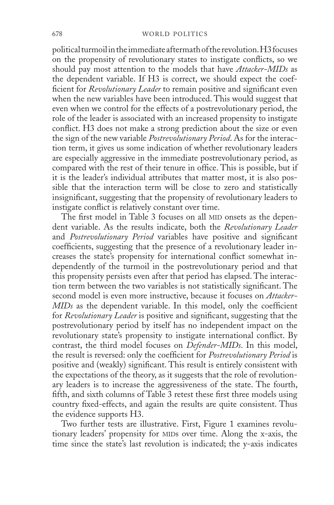political turmoil in the immediate aftermath of the revolution. H3 focuses on the propensity of revolutionary states to instigate conflicts, so we should pay most attention to the models that have *Attacker-MIDs* as the dependent variable. If H3 is correct, we should expect the coefficient for *Revolutionary Leader* to remain positive and significant even when the new variables have been introduced. This would suggest that even when we control for the effects of a postrevolutionary period, the role of the leader is associated with an increased propensity to instigate conflict. H3 does not make a strong prediction about the size or even the sign of the new variable *Postrevolutionary Period*. As for the interaction term, it gives us some indication of whether revolutionary leaders are especially aggressive in the immediate postrevolutionary period, as compared with the rest of their tenure in office. This is possible, but if it is the leader's individual attributes that matter most, it is also possible that the interaction term will be close to zero and statistically insignificant, suggesting that the propensity of revolutionary leaders to instigate conflict is relatively constant over time.

The first model in Table 3 focuses on all MID onsets as the dependent variable. As the results indicate, both the *Revolutionary Leader*  and *Postrevolutionary Period* variables have positive and significant coefficients, suggesting that the presence of a revolutionary leader increases the state's propensity for international conflict somewhat independently of the turmoil in the postrevolutionary period and that this propensity persists even after that period has elapsed. The interaction term between the two variables is not statistically significant. The second model is even more instructive, because it focuses on *Attacker-MIDs* as the dependent variable. In this model, only the coefficient for *Revolutionary Leader* is positive and significant, suggesting that the postrevolutionary period by itself has no independent impact on the revolutionary state's propensity to instigate international conflict. By contrast, the third model focuses on *Defender-MIDs*. In this model, the result is reversed: only the coefficient for *Postrevolutionary Period* is positive and (weakly) significant. This result is entirely consistent with the expectations of the theory, as it suggests that the role of revolutionary leaders is to increase the aggressiveness of the state. The fourth, fifth, and sixth columns of Table 3 retest these first three models using country fixed-effects, and again the results are quite consistent. Thus the evidence supports H3.

Two further tests are illustrative. First, Figure 1 examines revolutionary leaders' propensity for MIDs over time. Along the x-axis, the time since the state's last revolution is indicated; the y-axis indicates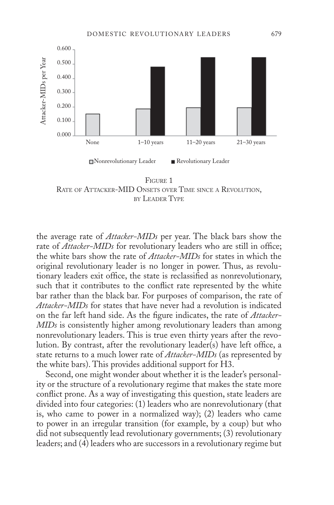

Figure 1 RATE OF ATTACKER-MID ONSETS OVER TIME SINCE A REVOLUTION, by Leader Type

the average rate of *Attacker-MIDs* per year. The black bars show the rate of *Attacker-MIDs* for revolutionary leaders who are still in office; the white bars show the rate of *Attacker-MIDs* for states in which the original revolutionary leader is no longer in power. Thus, as revolutionary leaders exit office, the state is reclassified as nonrevolutionary, such that it contributes to the conflict rate represented by the white bar rather than the black bar. For purposes of comparison, the rate of *Attacker-MIDs* for states that have never had a revolution is indicated on the far left hand side. As the figure indicates, the rate of *Attacker-MIDs* is consistently higher among revolutionary leaders than among nonrevolutionary leaders. This is true even thirty years after the revolution. By contrast, after the revolutionary leader(s) have left office, a state returns to a much lower rate of *Attacker-MIDs* (as represented by the white bars). This provides additional support for H3.

Second, one might wonder about whether it is the leader's personality or the structure of a revolutionary regime that makes the state more conflict prone. As a way of investigating this question, state leaders are divided into four categories: (1) leaders who are nonrevolutionary (that is, who came to power in a normalized way); (2) leaders who came to power in an irregular transition (for example, by a coup) but who did not subsequently lead revolutionary governments; (3) revolutionary leaders; and (4) leaders who are successors in a revolutionary regime but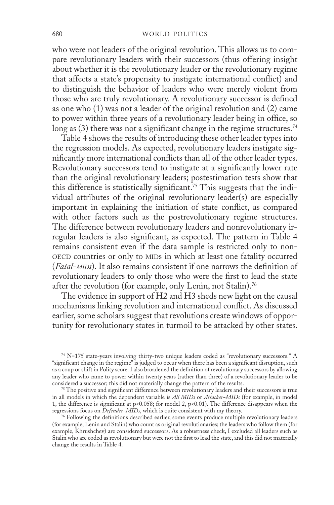#### 680 WORLD POLITICS

who were not leaders of the original revolution. This allows us to compare revolutionary leaders with their successors (thus offering insight about whether it is the revolutionary leader or the revolutionary regime that affects a state's propensity to instigate international conflict) and to distinguish the behavior of leaders who were merely violent from those who are truly revolutionary. A revolutionary successor is defined as one who (1) was not a leader of the original revolution and (2) came to power within three years of a revolutionary leader being in office, so long as  $(3)$  there was not a significant change in the regime structures.<sup>74</sup>

Table 4 shows the results of introducing these other leader types into the regression models. As expected, revolutionary leaders instigate significantly more international conflicts than all of the other leader types. Revolutionary successors tend to instigate at a significantly lower rate than the original revolutionary leaders; postestimation tests show that this difference is statistically significant.<sup>75</sup> This suggests that the individual attributes of the original revolutionary leader(s) are especially important in explaining the initiation of state conflict, as compared with other factors such as the postrevolutionary regime structures. The difference between revolutionary leaders and nonrevolutionary irregular leaders is also significant, as expected. The pattern in Table 4 remains consistent even if the data sample is restricted only to non-OECD countries or only to MIDs in which at least one fatality occurred (*Fatal-mids*). It also remains consistent if one narrows the definition of revolutionary leaders to only those who were the first to lead the state after the revolution (for example, only Lenin, not Stalin).<sup>76</sup>

The evidence in support of H2 and H3 sheds new light on the causal mechanisms linking revolution and international conflict. As discussed earlier, some scholars suggest that revolutions create windows of opportunity for revolutionary states in turmoil to be attacked by other states.

<sup>74</sup> N=175 state-years involving thirty-two unique leaders coded as "revolutionary successors." A "significant change in the regime" is judged to occur when there has been a significant disruption, such as a coup or shift in Polity score. I also broadened the definition of revolutionary successors by allowing any leader who came to power within twenty years (rather than three) of a revolutionary leader to be considered a successor; this did not materially change the pattern of the results.

<sup>&</sup>lt;sup>75</sup> The positive and significant difference between revolutionary leaders and their successors is true in all models in which the dependent variable is *All MIDs* or *Attacker-MIDs* (for example, in model 1, the difference is significant at p<0.058; for model 2, p<0.01). The difference disappears when the regressions focus on *Defender-MIDs*, which is quite consistent with my theory.

<sup>76</sup> Following the definitions described earlier, some events produce multiple revolutionary leaders (for example, Lenin and Stalin) who count as original revolutionaries; the leaders who follow them (for example, Khrushchev) are considered successors. As a robustness check, I excluded all leaders such as Stalin who are coded as revolutionary but were not the first to lead the state, and this did not materially change the results in Table 4.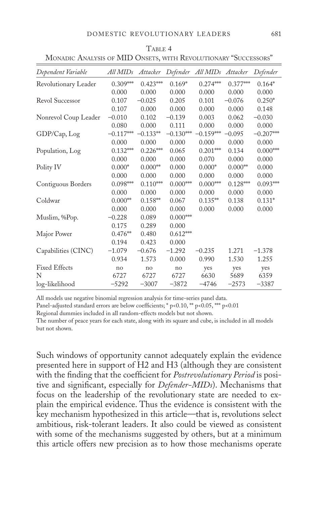| Dependent Variable   | All MIDs    | Attacker   |             | Defender All MIDs | Attacker   | Defender    |
|----------------------|-------------|------------|-------------|-------------------|------------|-------------|
| Revolutionary Leader | $0.309***$  | $0.423***$ | $0.169*$    | $0.274***$        | $0.377***$ | $0.164*$    |
|                      | 0.000       | 0.000      | 0.000       | 0.000             | 0.000      | 0.000       |
| Revol Successor      | 0.107       | $-0.025$   | 0.205       | 0.101             | $-0.076$   | $0.250*$    |
|                      | 0.107       | 0.000      | 0.000       | 0.000             | 0.000      | 0.148       |
| Nonrevol Coup Leader | $-0.010$    | 0.102      | $-0.139$    | 0.003             | 0.062      | $-0.030$    |
|                      | 0.080       | 0.000      | 0.111       | 0.000             | 0.000      | 0.000       |
| GDP/Cap, Log         | $-0.117***$ | $-0.133**$ | $-0.130***$ | $-0.159***$       | $-0.095$   | $-0.207***$ |
|                      | 0.000       | 0.000      | 0.000       | 0.000             | 0.000      | 0.000       |
| Population, Log      | $0.132***$  | $0.226***$ | 0.065       | $0.201***$        | 0.134      | $0.000***$  |
|                      | 0.000       | 0.000      | 0.000       | 0.070             | 0.000      | 0.000       |
| Polity IV            | $0.000*$    | $0.000**$  | 0.000       | $0.000*$          | $0.000**$  | 0.000       |
|                      | 0.000       | 0.000      | 0.000       | 0.000             | 0.000      | 0.000       |
| Contiguous Borders   | $0.098***$  | $0.110***$ | $0.000***$  | $0.000***$        | $0.128***$ | $0.093***$  |
|                      | 0.000       | 0.000      | 0.000       | 0.000             | 0.000      | 0.000       |
| Coldwar              | $0.000**$   | $0.158**$  | 0.067       | $0.135**$         | 0.138      | $0.131*$    |
|                      | 0.000       | 0.000      | 0.000       | 0.000             | 0.000      | 0.000       |
| Muslim, %Pop.        | $-0.228$    | 0.089      | $0.000***$  |                   |            |             |
|                      | 0.175       | 0.289      | 0.000       |                   |            |             |
| Major Power          | $0.476**$   | 0.480      | $0.612***$  |                   |            |             |
|                      | 0.194       | 0.423      | 0.000       |                   |            |             |
| Capabilities (CINC)  | $-1.079$    | $-0.676$   | $-1.292$    | $-0.235$          | 1.271      | $-1.378$    |
|                      | 0.934       | 1.573      | 0.000       | 0.990             | 1.530      | 1.255       |
| <b>Fixed Effects</b> | no          | no         | no          | yes               | yes        | yes         |
| N                    | 6727        | 6727       | 6727        | 6630              | 5689       | 6359        |
| log-likelihood       | $-5292$     | $-3007$    | $-3872$     | $-4746$           | $-2573$    | $-3387$     |

TABLE 4 Monadic Analysis of MID Onsets, with Revolutionary "Successors"

All models use negative binomial regression analysis for time-series panel data.

Panel-adjusted standard errors are below coefficients; \* p<0.10, \*\* p<0.05, \*\*\* p<0.01

Regional dummies included in all random-effects models but not shown.

The number of peace years for each state, along with its square and cube, is included in all models but not shown.

Such windows of opportunity cannot adequately explain the evidence presented here in support of H2 and H3 (although they are consistent with the finding that the coefficient for *Postrevolutionary Period* is positive and significant, especially for *Defender-MIDs*). Mechanisms that focus on the leadership of the revolutionary state are needed to explain the empirical evidence. Thus the evidence is consistent with the key mechanism hypothesized in this article—that is, revolutions select ambitious, risk-tolerant leaders. It also could be viewed as consistent with some of the mechanisms suggested by others, but at a minimum this article offers new precision as to how those mechanisms operate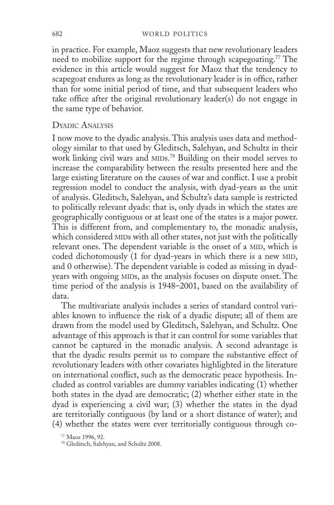#### 682 world politics

in practice. For example, Maoz suggests that new revolutionary leaders need to mobilize support for the regime through scapegoating.<sup>77</sup> The evidence in this article would suggest for Maoz that the tendency to scapegoat endures as long as the revolutionary leader is in office, rather than for some initial period of time, and that subsequent leaders who take office after the original revolutionary leader(s) do not engage in the same type of behavior.

## Dyadic Analysis

I now move to the dyadic analysis. This analysis uses data and methodology similar to that used by Gleditsch, Salehyan, and Schultz in their work linking civil wars and MIDs.<sup>78</sup> Building on their model serves to increase the comparability between the results presented here and the large existing literature on the causes of war and conflict. I use a probit regression model to conduct the analysis, with dyad-years as the unit of analysis. Gleditsch, Salehyan, and Schultz's data sample is restricted to politically relevant dyads: that is, only dyads in which the states are geographically contiguous or at least one of the states is a major power. This is different from, and complementary to, the monadic analysis, which considered MIDs with all other states, not just with the politically relevant ones. The dependent variable is the onset of a MID, which is coded dichotomously (1 for dyad-years in which there is a new MID, and 0 otherwise). The dependent variable is coded as missing in dyadyears with ongoing MIDs, as the analysis focuses on dispute onset. The time period of the analysis is 1948–2001, based on the availability of data.

The multivariate analysis includes a series of standard control variables known to influence the risk of a dyadic dispute; all of them are drawn from the model used by Gleditsch, Salehyan, and Schultz. One advantage of this approach is that it can control for some variables that cannot be captured in the monadic analysis. A second advantage is that the dyadic results permit us to compare the substantive effect of revolutionary leaders with other covariates highlighted in the literature on international conflict, such as the democratic peace hypothesis. Included as control variables are dummy variables indicating (1) whether both states in the dyad are democratic; (2) whether either state in the dyad is experiencing a civil war; (3) whether the states in the dyad are territorially contiguous (by land or a short distance of water); and (4) whether the states were ever territorially contiguous through co-

<sup>77</sup> Maoz 1996, 92.

<sup>78</sup> Gleditsch, Salehyan, and Schultz 2008.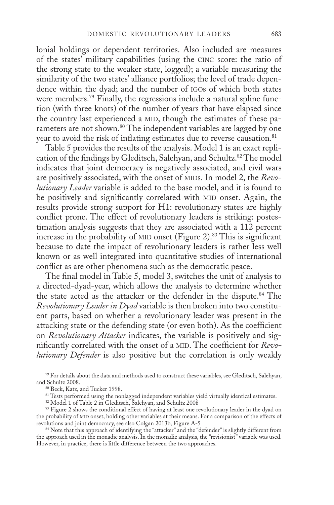lonial holdings or dependent territories. Also included are measures of the states' military capabilities (using the cinc score: the ratio of the strong state to the weaker state, logged); a variable measuring the similarity of the two states' alliance portfolios; the level of trade dependence within the dyad; and the number of igos of which both states were members.<sup>79</sup> Finally, the regressions include a natural spline function (with three knots) of the number of years that have elapsed since the country last experienced a MID, though the estimates of these parameters are not shown.<sup>80</sup> The independent variables are lagged by one year to avoid the risk of inflating estimates due to reverse causation.<sup>81</sup>

Table 5 provides the results of the analysis. Model 1 is an exact replication of the findings by Gleditsch, Salehyan, and Schultz.<sup>82</sup> The model indicates that joint democracy is negatively associated, and civil wars are positively associated, with the onset of MIDs. In model 2, the *Revolutionary Leader* variable is added to the base model, and it is found to be positively and significantly correlated with MID onset. Again, the results provide strong support for H1: revolutionary states are highly conflict prone. The effect of revolutionary leaders is striking: postestimation analysis suggests that they are associated with a 112 percent increase in the probability of MID onset (Figure 2).<sup>83</sup> This is significant because to date the impact of revolutionary leaders is rather less well known or as well integrated into quantitative studies of international conflict as are other phenomena such as the democratic peace.

The final model in Table 5, model 3, switches the unit of analysis to a directed-dyad-year, which allows the analysis to determine whether the state acted as the attacker or the defender in the dispute.<sup>84</sup> The *Revolutionary Leader in Dyad* variable is then broken into two constituent parts, based on whether a revolutionary leader was present in the attacking state or the defending state (or even both). As the coefficient on *Revolutionary Attacker* indicates, the variable is positively and significantly correlated with the onset of a MID. The coefficient for *Revolutionary Defender* is also positive but the correlation is only weakly

<sup>79</sup> For details about the data and methods used to construct these variables, see Gleditsch, Salehyan, and Schultz 2008.

80 Beck, Katz, and Tucker 1998.

<sup>81</sup> Tests performed using the nonlagged independent variables yield virtually identical estimates.

<sup>82</sup> Model 1 of Table 2 in Gleditsch, Salehyan, and Schultz 2008

<sup>83</sup> Figure 2 shows the conditional effect of having at least one revolutionary leader in the dyad on the probability of mid onset, holding other variables at their means. For a comparison of the effects of revolutions and joint democracy, see also Colgan 2013b, Figure A-5

<sup>84</sup> Note that this approach of identifying the "attacker" and the "defender" is slightly different from the approach used in the monadic analysis. In the monadic analysis, the "revisionist" variable was used. However, in practice, there is little difference between the two approaches.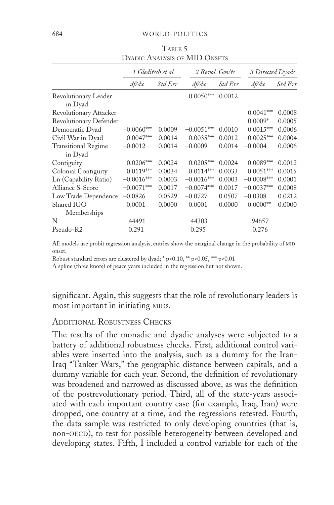|                                 | 1 Gleditsch et al. |                | 2 Revol. Gov'ts |                | 3 Directed Dyads |                |
|---------------------------------|--------------------|----------------|-----------------|----------------|------------------|----------------|
|                                 | df/dx              | <i>Std Err</i> | df/dx           | <i>Std Err</i> | df/dx            | <i>Std Err</i> |
| Revolutionary Leader<br>in Dyad |                    |                | $0.0050***$     | 0.0012         |                  |                |
| Revolutionary Attacker          |                    |                |                 |                | $0.0041***$      | 0.0008         |
| Revolutionary Defender          |                    |                |                 |                | $0.0009*$        | 0.0005         |
| Democratic Dyad                 | $-0.0060***$       | 0.0009         | $-0.0051***$    | 0.0010         | $0.0015***$      | 0.0006         |
| Civil War in Dyad               | $0.0047***$        | 0.0014         | $0.0035***$     | 0.0012         | $-0.0025***$     | 0.0004         |
| <b>Transitional Regime</b>      | $-0.0012$          | 0.0014         | $-0.0009$       | 0.0014         | $-0.0004$        | 0.0006         |
| in Dyad                         |                    |                |                 |                |                  |                |
| Contiguity                      | $0.0206***$        | 0.0024         | $0.0205***$     | 0.0024         | $0.0089***$      | 0.0012         |
| Colonial Contiguity             | $0.0119***$        | 0.0034         | $0.0114***$     | 0.0033         | $0.0051***$      | 0.0015         |
| Ln (Capability Ratio)           | $-0.0016***$       | 0.0003         | $-0.0016***$    | 0.0003         | $-0.0008***$     | 0.0001         |
| Alliance S-Score                | $-0.0071***$       | 0.0017         | $-0.0074***$    | 0.0017         | $-0.0037***$     | 0.0008         |
| Low Trade Dependence            | $-0.0826$          | 0.0529         | $-0.0727$       | 0.0507         | $-0.0308$        | 0.0212         |
| Shared IGO                      | 0.0001             | 0.0000         | 0.0001          | 0.0000         | $0.0000**$       | 0.0000         |
| Memberships                     |                    |                |                 |                |                  |                |
| N                               | 44491              |                | 44303           |                | 94657            |                |
| Pseudo-R2                       | 0.291              |                | 0.295           |                | 0.276            |                |

TABLE 5 DYADIC ANALYSIS OF MID ONSETS

All models use probit regression analysis; entries show the marginal change in the probability of MID onset.

Robust standard errors are clustered by dyad; \* p<0.10, \*\* p<0.05, \*\*\* p<0.01

A spline (three knots) of peace years included in the regression but not shown.

significant. Again, this suggests that the role of revolutionary leaders is most important in initiating MIDs.

## ADDITIONAL ROBUSTNESS CHECKS

The results of the monadic and dyadic analyses were subjected to a battery of additional robustness checks. First, additional control variables were inserted into the analysis, such as a dummy for the Iran-Iraq "Tanker Wars," the geographic distance between capitals, and a dummy variable for each year. Second, the definition of revolutionary was broadened and narrowed as discussed above, as was the definition of the postrevolutionary period. Third, all of the state-years associated with each important country case (for example, Iraq, Iran) were dropped, one country at a time, and the regressions retested. Fourth, the data sample was restricted to only developing countries (that is, non-OECD), to test for possible heterogeneity between developed and developing states. Fifth, I included a control variable for each of the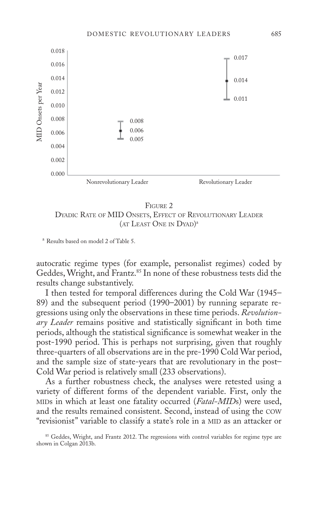

#### Figure 2

Dyadic Rate of MID Onsets, Effect of Revolutionary Leader (AT LEAST ONE IN DYAD)<sup>a</sup>

<sup>a</sup> Results based on model 2 of Table 5.

autocratic regime types (for example, personalist regimes) coded by Geddes, Wright, and Frantz.<sup>85</sup> In none of these robustness tests did the results change substantively.

I then tested for temporal differences during the Cold War (1945– 89) and the subsequent period (1990–2001) by running separate regressions using only the observations in these time periods. *Revolutionary Leader* remains positive and statistically significant in both time periods, although the statistical significance is somewhat weaker in the post-1990 period. This is perhaps not surprising, given that roughly three-quarters of all observations are in the pre-1990 Cold War period, and the sample size of state-years that are revolutionary in the post– Cold War period is relatively small (233 observations).

As a further robustness check, the analyses were retested using a variety of different forms of the dependent variable. First, only the mids in which at least one fatality occurred (*Fatal-MID*s) were used, and the results remained consistent. Second, instead of using the cow "revisionist" variable to classify a state's role in a MID as an attacker or

<sup>&</sup>lt;sup>85</sup> Geddes, Wright, and Frantz 2012. The regressions with control variables for regime type are shown in Colgan 2013b.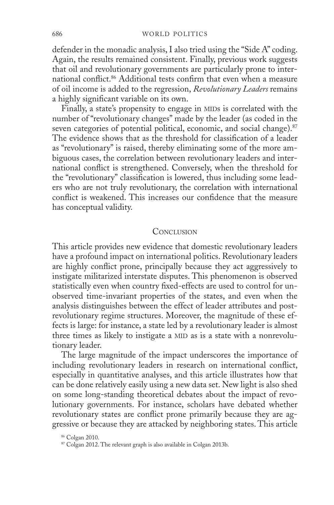defender in the monadic analysis, I also tried using the "Side A" coding. Again, the results remained consistent. Finally, previous work suggests that oil and revolutionary governments are particularly prone to international conflict.<sup>86</sup> Additional tests confirm that even when a measure of oil income is added to the regression, *Revolutionary Leaders* remains a highly significant variable on its own.

Finally, a state's propensity to engage in MIDs is correlated with the number of "revolutionary changes" made by the leader (as coded in the seven categories of potential political, economic, and social change).<sup>87</sup> The evidence shows that as the threshold for classification of a leader as "revolutionary" is raised, thereby eliminating some of the more ambiguous cases, the correlation between revolutionary leaders and international conflict is strengthened. Conversely, when the threshold for the "revolutionary" classification is lowered, thus including some leaders who are not truly revolutionary, the correlation with international conflict is weakened. This increases our confidence that the measure has conceptual validity.

### CONCLUSION

This article provides new evidence that domestic revolutionary leaders have a profound impact on international politics. Revolutionary leaders are highly conflict prone, principally because they act aggressively to instigate militarized interstate disputes. This phenomenon is observed statistically even when country fixed-effects are used to control for unobserved time-invariant properties of the states, and even when the analysis distinguishes between the effect of leader attributes and postrevolutionary regime structures. Moreover, the magnitude of these effects is large: for instance, a state led by a revolutionary leader is almost three times as likely to instigate a MID as is a state with a nonrevolutionary leader.

The large magnitude of the impact underscores the importance of including revolutionary leaders in research on international conflict, especially in quantitative analyses, and this article illustrates how that can be done relatively easily using a new data set. New light is also shed on some long-standing theoretical debates about the impact of revolutionary governments. For instance, scholars have debated whether revolutionary states are conflict prone primarily because they are aggressive or because they are attacked by neighboring states. This article

<sup>86</sup> Colgan 2010.

<sup>87</sup> Colgan 2012. The relevant graph is also available in Colgan 2013b.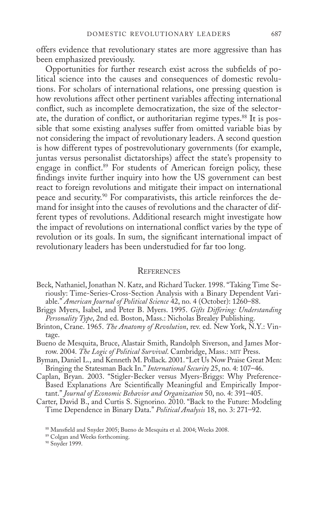offers evidence that revolutionary states are more aggressive than has been emphasized previously.

Opportunities for further research exist across the subfields of political science into the causes and consequences of domestic revolutions. For scholars of international relations, one pressing question is how revolutions affect other pertinent variables affecting international conflict, such as incomplete democratization, the size of the selectorate, the duration of conflict, or authoritarian regime types.<sup>88</sup> It is possible that some existing analyses suffer from omitted variable bias by not considering the impact of revolutionary leaders. A second question is how different types of postrevolutionary governments (for example, juntas versus personalist dictatorships) affect the state's propensity to engage in conflict.<sup>89</sup> For students of American foreign policy, these findings invite further inquiry into how the US government can best react to foreign revolutions and mitigate their impact on international peace and security.90 For comparativists, this article reinforces the demand for insight into the causes of revolutions and the character of different types of revolutions. Additional research might investigate how the impact of revolutions on international conflict varies by the type of revolution or its goals. In sum, the significant international impact of revolutionary leaders has been understudied for far too long.

#### **REFERENCES**

- Beck, Nathaniel, Jonathan N. Katz, and Richard Tucker. 1998. "Taking Time Seriously: Time-Series-Cross-Section Analysis with a Binary Dependent Variable." *American Journal of Political Science* 42, no. 4 (October): 1260–88.
- Briggs Myers, Isabel, and Peter B. Myers. 1995. *Gifts Differing: Understanding Personality Type*, 2nd ed. Boston, Mass.: Nicholas Brealey Publishing.
- Brinton, Crane. 1965. *The Anatomy of Revolution*, rev. ed. New York, N.Y.: Vintage.
- Bueno de Mesquita, Bruce, Alastair Smith, Randolph Siverson, and James Morrow. 2004. *The Logic of Political Survival*. Cambridge, Mass.: mit Press.
- Byman, Daniel L., and Kenneth M. Pollack. 2001. "Let Us Now Praise Great Men: Bringing the Statesman Back In." *International Security* 25, no. 4: 107–46.
- Caplan, Bryan. 2003. "Stigler-Becker versus Myers-Briggs: Why Preference-Based Explanations Are Scientifically Meaningful and Empirically Important." *Journal of Economic Behavior and Organization* 50, no. 4: 391–405.
- Carter, David B., and Curtis S. Signorino. 2010. "Back to the Future: Modeling Time Dependence in Binary Data." *Political Analysis* 18, no. 3: 271–92.

<sup>90</sup> Snyder 1999.

<sup>88</sup> Mansfield and Snyder 2005; Bueno de Mesquita et al. 2004; Weeks 2008.

<sup>89</sup> Colgan and Weeks forthcoming.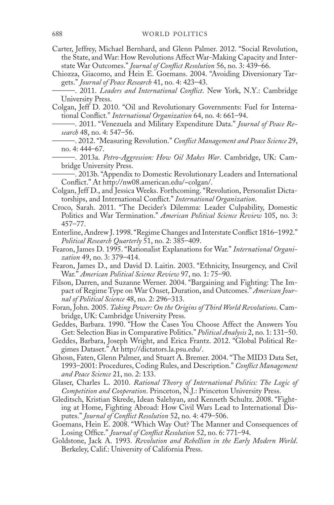- Carter, Jeffrey, Michael Bernhard, and Glenn Palmer. 2012. "Social Revolution, the State, and War: How Revolutions Affect War-Making Capacity and Interstate War Outcomes." *Journal of Conflict Resolution* 56, no. 3: 439–66.
- Chiozza, Giacomo, and Hein E. Goemans. 2004. "Avoiding Diversionary Targets." *Journal of Peace Research* 41, no. 4: 423–43.
	- ———. 2011. *Leaders and International Conflict*. New York, N.Y.: Cambridge University Press.
- Colgan, Jeff D. 2010. "Oil and Revolutionary Governments: Fuel for International Conflict." *International Organization* 64, no. 4: 661–94.
- ———. 2011. "Venezuela and Military Expenditure Data." *Journal of Peace Research* 48, no. 4: 547–56.
- ———. 2012. "Measuring Revolution." *Conflict Management and Peace Science* 29, no. 4: 444–67.
- ———. 2013a. *Petro-Aggression: How Oil Makes War*. Cambridge, UK: Cambridge University Press.
- ———. 2013b. "Appendix to Domestic Revolutionary Leaders and International Conflict." At http://nw08.american.edu/~colgan/.
- Colgan, Jeff D., and Jessica Weeks. Forthcoming. "Revolution, Personalist Dictatorships, and International Conflict." *International Organization*.
- Croco, Sarah. 2011. "The Decider's Dilemma: Leader Culpability, Domestic Politics and War Termination." *American Political Science Review* 105, no. 3: 457–77.
- Enterline, Andrew J. 1998. "Regime Changes and Interstate Conflict 1816–1992." *Political Research Quarterly* 51, no. 2: 385–409.
- Fearon, James D. 1995. "Rationalist Explanations for War." *International Organization* 49, no. 3: 379–414.
- Fearon, James D., and David D. Laitin. 2003. "Ethnicity, Insurgency, and Civil War." *American Political Science Review* 97, no. 1: 75–90.
- Filson, Darren, and Suzanne Werner. 2004. "Bargaining and Fighting: The Impact of Regime Type on War Onset, Duration, and Outcomes." *American Journal of Political Science* 48, no. 2: 296–313.
- Foran, John. 2005. *Taking Power: On the Origins of Third World Revolutions*. Cambridge, UK: Cambridge University Press.
- Geddes, Barbara. 1990. "How the Cases You Choose Affect the Answers You Get: Selection Bias in Comparative Politics." *Political Analysis* 2, no. 1: 131–50.
- Geddes, Barbara, Joseph Wright, and Erica Frantz. 2012. "Global Political Regimes Dataset." At http://dictators.la.psu.edu/.
- Ghosn, Faten, Glenn Palmer, and Stuart A. Bremer. 2004. "The MID3 Data Set, 1993–2001: Procedures, Coding Rules, and Description." *Conflict Management and Peace Science* 21, no. 2: 133.
- Glaser, Charles L. 2010. *Rational Theory of International Politics: The Logic of Competition and Cooperation*. Princeton, N.J.: Princeton University Press.
- Gleditsch, Kristian Skrede, Idean Salehyan, and Kenneth Schultz. 2008. "Fighting at Home, Fighting Abroad: How Civil Wars Lead to International Disputes." *Journal of Conflict Resolution* 52, no. 4: 479–506.
- Goemans, Hein E. 2008. "Which Way Out? The Manner and Consequences of Losing Office." *Journal of Conflict Resolution* 52, no. 6: 771–94.
- Goldstone, Jack A. 1993. *Revolution and Rebellion in the Early Modern World*. Berkeley, Calif.: University of California Press.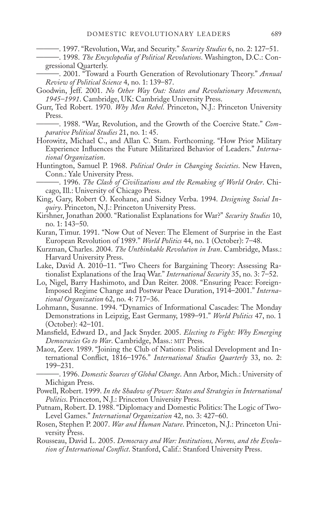———. 1997. "Revolution, War, and Security." *Security Studies* 6, no. 2: 127–51.

- ———. 1998. *The Encyclopedia of Political Revolutions*. Washington, D.C.: Congressional Quarterly.
- ———. 2001. "Toward a Fourth Generation of Revolutionary Theory." *Annual Review of Political Science* 4, no. 1: 139–87.
- Goodwin, Jeff. 2001. *No Other Way Out: States and Revolutionary Movements, 1945–1991*. Cambridge, UK: Cambridge University Press.
- Gurr, Ted Robert. 1970. *Why Men Rebel*. Princeton, N.J.: Princeton University Press.

———. 1988. "War, Revolution, and the Growth of the Coercive State." *Comparative Political Studies* 21, no. 1: 45.

- Horowitz, Michael C., and Allan C. Stam. Forthcoming. "How Prior Military Experience Influences the Future Militarized Behavior of Leaders." *International Organization*.
- Huntington, Samuel P. 1968. *Political Order in Changing Societies*. New Haven, Conn.: Yale University Press.

———. 1996. *The Clash of Civilizations and the Remaking of World Order*. Chicago, Ill.: University of Chicago Press.

- King, Gary, Robert O. Keohane, and Sidney Verba. 1994. *Designing Social Inquiry*. Princeton, N.J.: Princeton University Press.
- Kirshner, Jonathan 2000. "Rationalist Explanations for War?" *Security Studies* 10, no. 1: 143–50.
- Kuran, Timur. 1991. "Now Out of Never: The Element of Surprise in the East European Revolution of 1989." *World Politics* 44, no. 1 (October): 7–48.
- Kurzman, Charles. 2004. *The Unthinkable Revolution in Iran*. Cambridge, Mass.: Harvard University Press.
- Lake, David A. 2010–11. "Two Cheers for Bargaining Theory: Assessing Rationalist Explanations of the Iraq War." *International Security* 35, no. 3: 7–52.
- Lo, Nigel, Barry Hashimoto, and Dan Reiter. 2008. "Ensuring Peace: Foreign-Imposed Regime Change and Postwar Peace Duration, 1914–2001." *International Organization* 62, no. 4: 717–36.
- Lohmann, Susanne. 1994. "Dynamics of Informational Cascades: The Monday Demonstrations in Leipzig, East Germany, 1989–91." *World Politics* 47, no. 1 (October): 42–101.
- Mansfield, Edward D., and Jack Snyder. 2005. *Electing to Fight: Why Emerging Democracies Go to War*. Cambridge, Mass.: mit Press.
- Maoz, Zeev. 1989. "Joining the Club of Nations: Political Development and International Conflict, 1816–1976." *International Studies Quarterly* 33, no. 2: 199–231.

———. 1996. *Domestic Sources of Global Change*. Ann Arbor, Mich.: University of Michigan Press.

- Powell, Robert. 1999. *In the Shadow of Power: States and Strategies in International Politics*. Princeton, N.J.: Princeton University Press.
- Putnam, Robert. D. 1988. "Diplomacy and Domestic Politics: The Logic of Two-Level Games." *International Organization* 42, no. 3: 427–60.
- Rosen, Stephen P. 2007. *War and Human Nature*. Princeton, N.J.: Princeton University Press.
- Rousseau, David L. 2005. *Democracy and War: Institutions, Norms, and the Evolution of International Conflict*. Stanford, Calif.: Stanford University Press.